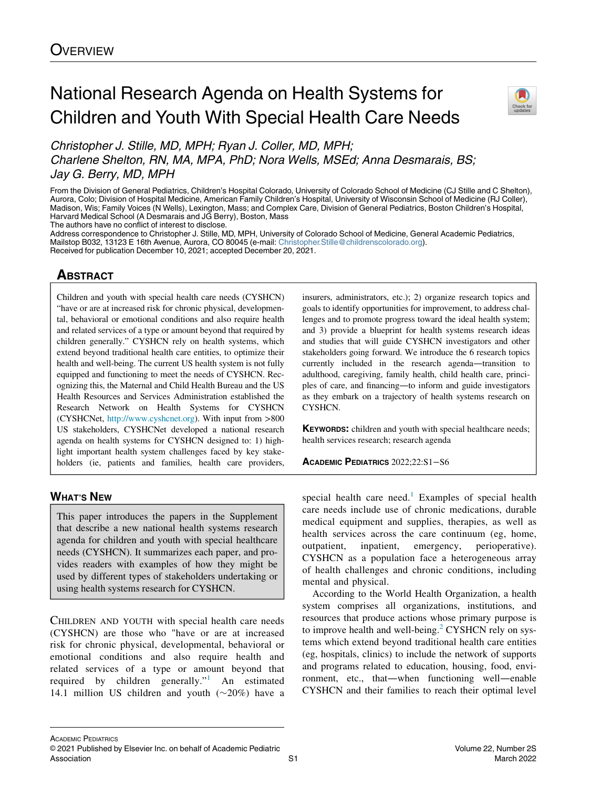# National Research Agenda on Health Systems for Children and Youth With Special Health Care Needs



Christopher J. Stille, MD, MPH; Ryan J. Coller, MD, MPH; Charlene Shelton, RN, MA, MPA, PhD; Nora Wells, MSEd; Anna Desmarais, BS; Jay G. Berry, MD, MPH

From the Division of General Pediatrics, Children's Hospital Colorado, University of Colorado School of Medicine (CJ Stille and C Shelton), Aurora, Colo; Division of Hospital Medicine, American Family Children's Hospital, University of Wisconsin School of Medicine (RJ Coller), Madison, Wis; Family Voices (N Wells), Lexington, Mass; and Complex Care, Division of General Pediatrics, Boston Children's Hospital, Harvard Medical School (A Desmarais and JG Berry), Boston, Mass

The authors have no conflict of interest to disclose.

Address correspondence to Christopher J. Stille, MD, MPH, University of Colorado School of Medicine, General Academic Pediatrics, Mailstop B032, 13123 E 16th Avenue, Aurora, CO 80045 (e-mail: [Christopher.Stille@childrenscolorado.org\)](mailto:Christopher.Stille@childrenscolorado.org). Received for publication December 10, 2021; accepted December 20, 2021.

## **ABSTRACT**

Children and youth with special health care needs (CYSHCN) "have or are at increased risk for chronic physical, developmental, behavioral or emotional conditions and also require health and related services of a type or amount beyond that required by children generally." CYSHCN rely on health systems, which extend beyond traditional health care entities, to optimize their health and well-being. The current US health system is not fully equipped and functioning to meet the needs of CYSHCN. Recognizing this, the Maternal and Child Health Bureau and the US Health Resources and Services Administration established the Research Network on Health Systems for CYSHCN (CYSHCNet, <http://www.cyshcnet.org>). With input from >800 US stakeholders, CYSHCNet developed a national research agenda on health systems for CYSHCN designed to: 1) highlight important health system challenges faced by key stakeholders (ie, patients and families, health care providers,

## WHAT'S NEW

This paper introduces the papers in the Supplement that describe a new national health systems research agenda for children and youth with special healthcare needs (CYSHCN). It summarizes each paper, and provides readers with examples of how they might be used by different types of stakeholders undertaking or using health systems research for CYSHCN.

CHILDREN AND YOUTH with special health care needs (CYSHCN) are those who "have or are at increased risk for chronic physical, developmental, behavioral or emotional conditions and also require health and related services of a type or amount beyond that required by children generally."<sup>1</sup> An estimated 14.1 million US children and youth  $(\sim 20\%)$  have a insurers, administrators, etc.); 2) organize research topics and goals to identify opportunities for improvement, to address challenges and to promote progress toward the ideal health system; and 3) provide a blueprint for health systems research ideas and studies that will guide CYSHCN investigators and other stakeholders going forward. We introduce the 6 research topics currently included in the research agenda—transition to adulthood, caregiving, family health, child health care, principles of care, and financing—to inform and guide investigators as they embark on a trajectory of health systems research on CYSHCN.

**KEYWORDS:** children and youth with special healthcare needs; health services research; research agenda

ACADEMIC PEDIATRICS 2022;22:S1−S6

special health care need.<sup>[1](#page-5-0)</sup> Examples of special health care needs include use of chronic medications, durable medical equipment and supplies, therapies, as well as health services across the care continuum (eg, home, outpatient, inpatient, emergency, perioperative). CYSHCN as a population face a heterogeneous array of health challenges and chronic conditions, including mental and physical.

According to the World Health Organization, a health system comprises all organizations, institutions, and resources that produce actions whose primary purpose is to improve health and well-being.<sup>[2](#page-5-1)</sup> CYSHCN rely on systems which extend beyond traditional health care entities (eg, hospitals, clinics) to include the network of supports and programs related to education, housing, food, environment, etc., that—when functioning well—enable CYSHCN and their families to reach their optimal level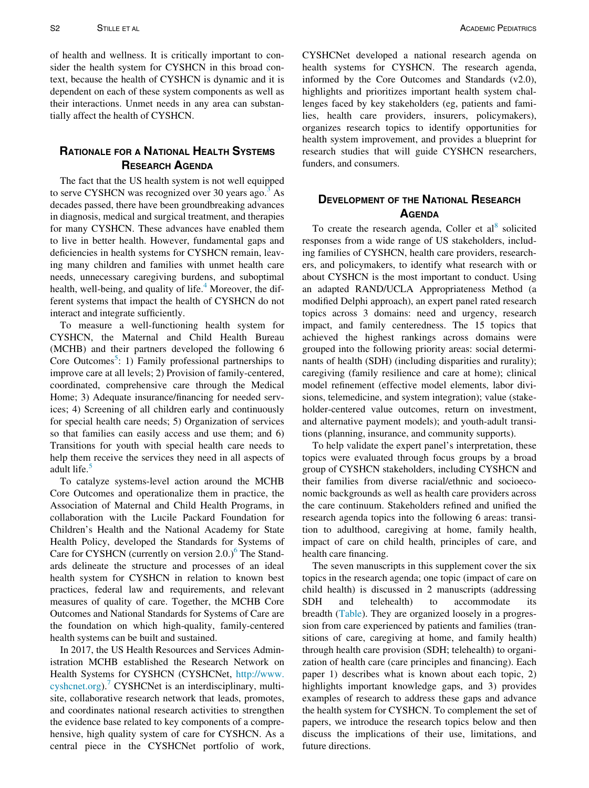of health and wellness. It is critically important to consider the health system for CYSHCN in this broad context, because the health of CYSHCN is dynamic and it is dependent on each of these system components as well as their interactions. Unmet needs in any area can substantially affect the health of CYSHCN.

## RATIONALE FOR A NATIONAL HEALTH SYSTEMS RESEARCH AGENDA

The fact that the US health system is not well equipped to serve CYSHCN was recognized over 30 years ago.<sup>3</sup> As decades passed, there have been groundbreaking advances in diagnosis, medical and surgical treatment, and therapies for many CYSHCN. These advances have enabled them to live in better health. However, fundamental gaps and deficiencies in health systems for CYSHCN remain, leaving many children and families with unmet health care needs, unnecessary caregiving burdens, and suboptimal health, well-being, and quality of life.<sup>[4](#page-5-3)</sup> Moreover, the different systems that impact the health of CYSHCN do not interact and integrate sufficiently.

To measure a well-functioning health system for CYSHCN, the Maternal and Child Health Bureau (MCHB) and their partners developed the following 6 Core Outcomes<sup>[5](#page-5-4)</sup>: 1) Family professional partnerships to improve care at all levels; 2) Provision of family-centered, coordinated, comprehensive care through the Medical Home; 3) Adequate insurance/financing for needed services; 4) Screening of all children early and continuously for special health care needs; 5) Organization of services so that families can easily access and use them; and 6) Transitions for youth with special health care needs to help them receive the services they need in all aspects of adult life.<sup>[5](#page-5-4)</sup>

To catalyze systems-level action around the MCHB Core Outcomes and operationalize them in practice, the Association of Maternal and Child Health Programs, in collaboration with the Lucile Packard Foundation for Children's Health and the National Academy for State Health Policy, developed the Standards for Systems of Care for CYSHCN (currently on version  $2.0$ .)<sup>6</sup> The Standards delineate the structure and processes of an ideal health system for CYSHCN in relation to known best practices, federal law and requirements, and relevant measures of quality of care. Together, the MCHB Core Outcomes and National Standards for Systems of Care are the foundation on which high-quality, family-centered health systems can be built and sustained.

In 2017, the US Health Resources and Services Administration MCHB established the Research Network on Health Systems for CYSHCN (CYSHCNet, [http://www.](http://www.cyshcnet.org) [cyshcnet.org\)](http://www.cyshcnet.org).<sup>7</sup> CYSHCNet is an interdisciplinary, multisite, collaborative research network that leads, promotes, and coordinates national research activities to strengthen the evidence base related to key components of a comprehensive, high quality system of care for CYSHCN. As a central piece in the CYSHCNet portfolio of work, CYSHCNet developed a national research agenda on health systems for CYSHCN. The research agenda, informed by the Core Outcomes and Standards (v2.0), highlights and prioritizes important health system challenges faced by key stakeholders (eg, patients and families, health care providers, insurers, policymakers), organizes research topics to identify opportunities for health system improvement, and provides a blueprint for research studies that will guide CYSHCN researchers, funders, and consumers.

### DEVELOPMENT OF THE NATIONAL RESEARCH **AGENDA**

To create the research agenda, Coller et  $al<sup>8</sup>$  $al<sup>8</sup>$  $al<sup>8</sup>$  solicited responses from a wide range of US stakeholders, including families of CYSHCN, health care providers, researchers, and policymakers, to identify what research with or about CYSHCN is the most important to conduct. Using an adapted RAND/UCLA Appropriateness Method (a modified Delphi approach), an expert panel rated research topics across 3 domains: need and urgency, research impact, and family centeredness. The 15 topics that achieved the highest rankings across domains were grouped into the following priority areas: social determinants of health (SDH) (including disparities and rurality); caregiving (family resilience and care at home); clinical model refinement (effective model elements, labor divisions, telemedicine, and system integration); value (stakeholder-centered value outcomes, return on investment, and alternative payment models); and youth-adult transitions (planning, insurance, and community supports).

To help validate the expert panel's interpretation, these topics were evaluated through focus groups by a broad group of CYSHCN stakeholders, including CYSHCN and their families from diverse racial/ethnic and socioeconomic backgrounds as well as health care providers across the care continuum. Stakeholders refined and unified the research agenda topics into the following 6 areas: transition to adulthood, caregiving at home, family health, impact of care on child health, principles of care, and health care financing.

The seven manuscripts in this supplement cover the six topics in the research agenda; one topic (impact of care on child health) is discussed in 2 manuscripts (addressing SDH and telehealth) to accommodate its breadth ([Table\)](#page-2-0). They are organized loosely in a progression from care experienced by patients and families (transitions of care, caregiving at home, and family health) through health care provision (SDH; telehealth) to organization of health care (care principles and financing). Each paper 1) describes what is known about each topic, 2) highlights important knowledge gaps, and 3) provides examples of research to address these gaps and advance the health system for CYSHCN. To complement the set of papers, we introduce the research topics below and then discuss the implications of their use, limitations, and future directions.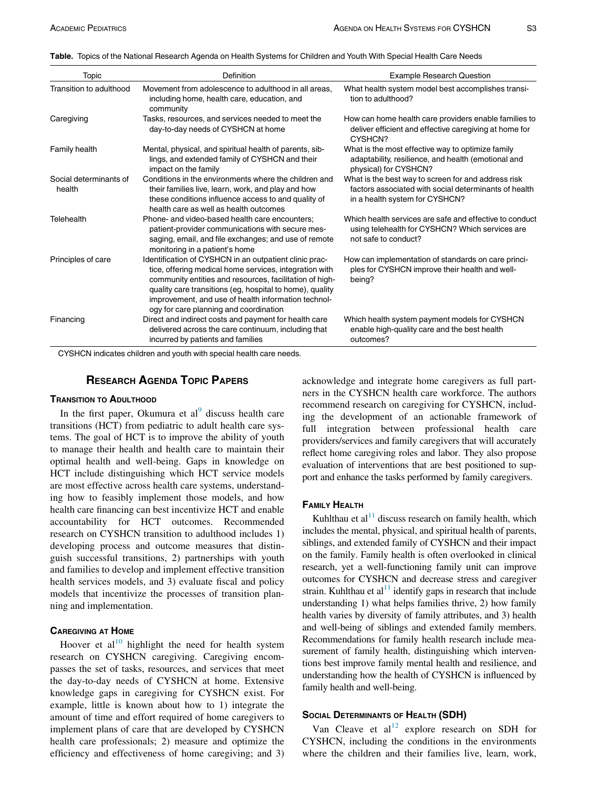<span id="page-2-0"></span>Table. Topics of the National Research Agenda on Health Systems for Children and Youth With Special Health Care Needs

| Topic                            | Definition                                                                                                                                                                                                                                                                                                                               | <b>Example Research Question</b>                                                                                                               |
|----------------------------------|------------------------------------------------------------------------------------------------------------------------------------------------------------------------------------------------------------------------------------------------------------------------------------------------------------------------------------------|------------------------------------------------------------------------------------------------------------------------------------------------|
| Transition to adulthood          | Movement from adolescence to adulthood in all areas,<br>including home, health care, education, and<br>community                                                                                                                                                                                                                         | What health system model best accomplishes transi-<br>tion to adulthood?                                                                       |
| Caregiving                       | Tasks, resources, and services needed to meet the<br>day-to-day needs of CYSHCN at home                                                                                                                                                                                                                                                  | How can home health care providers enable families to<br>deliver efficient and effective caregiving at home for<br>CYSHCN?                     |
| Family health                    | Mental, physical, and spiritual health of parents, sib-<br>lings, and extended family of CYSHCN and their<br>impact on the family                                                                                                                                                                                                        | What is the most effective way to optimize family<br>adaptability, resilience, and health (emotional and<br>physical) for CYSHCN?              |
| Social determinants of<br>health | Conditions in the environments where the children and<br>their families live, learn, work, and play and how<br>these conditions influence access to and quality of<br>health care as well as health outcomes                                                                                                                             | What is the best way to screen for and address risk<br>factors associated with social determinants of health<br>in a health system for CYSHCN? |
| Telehealth                       | Phone- and video-based health care encounters;<br>patient-provider communications with secure mes-<br>saging, email, and file exchanges; and use of remote<br>monitoring in a patient's home                                                                                                                                             | Which health services are safe and effective to conduct<br>using telehealth for CYSHCN? Which services are<br>not safe to conduct?             |
| Principles of care               | Identification of CYSHCN in an outpatient clinic prac-<br>tice, offering medical home services, integration with<br>community entities and resources, facilitation of high-<br>quality care transitions (eg, hospital to home), quality<br>improvement, and use of health information technol-<br>ogy for care planning and coordination | How can implementation of standards on care princi-<br>ples for CYSHCN improve their health and well-<br>being?                                |
| Financing                        | Direct and indirect costs and payment for health care<br>delivered across the care continuum, including that<br>incurred by patients and families                                                                                                                                                                                        | Which health system payment models for CYSHCN<br>enable high-quality care and the best health<br>outcomes?                                     |

CYSHCN indicates children and youth with special health care needs.

#### RESEARCH AGENDA TOPIC PAPERS

#### TRANSITION TO ADULTHOOD

In the first paper, Okumura et  $al^9$  $al^9$  discuss health care transitions (HCT) from pediatric to adult health care systems. The goal of HCT is to improve the ability of youth to manage their health and health care to maintain their optimal health and well-being. Gaps in knowledge on HCT include distinguishing which HCT service models are most effective across health care systems, understanding how to feasibly implement those models, and how health care financing can best incentivize HCT and enable accountability for HCT outcomes. Recommended research on CYSHCN transition to adulthood includes 1) developing process and outcome measures that distinguish successful transitions, 2) partnerships with youth and families to develop and implement effective transition health services models, and 3) evaluate fiscal and policy models that incentivize the processes of transition planning and implementation.

#### CAREGIVING AT HOME

Hoover et  $al^{10}$  $al^{10}$  $al^{10}$  highlight the need for health system research on CYSHCN caregiving. Caregiving encompasses the set of tasks, resources, and services that meet the day-to-day needs of CYSHCN at home. Extensive knowledge gaps in caregiving for CYSHCN exist. For example, little is known about how to 1) integrate the amount of time and effort required of home caregivers to implement plans of care that are developed by CYSHCN health care professionals; 2) measure and optimize the efficiency and effectiveness of home caregiving; and 3) acknowledge and integrate home caregivers as full partners in the CYSHCN health care workforce. The authors recommend research on caregiving for CYSHCN, including the development of an actionable framework of full integration between professional health care providers/services and family caregivers that will accurately reflect home caregiving roles and labor. They also propose evaluation of interventions that are best positioned to support and enhance the tasks performed by family caregivers.

#### FAMILY HEALTH

Kuhlthau et al<sup>11</sup> discuss research on family health, which includes the mental, physical, and spiritual health of parents, siblings, and extended family of CYSHCN and their impact on the family. Family health is often overlooked in clinical research, yet a well-functioning family unit can improve outcomes for CYSHCN and decrease stress and caregiver strain. Kuhlthau et al<sup>11</sup> identify gaps in research that include understanding 1) what helps families thrive, 2) how family health varies by diversity of family attributes, and 3) health and well-being of siblings and extended family members. Recommendations for family health research include measurement of family health, distinguishing which interventions best improve family mental health and resilience, and understanding how the health of CYSHCN is influenced by family health and well-being.

#### SOCIAL DETERMINANTS OF HEALTH (SDH)

Van Cleave et  $al<sup>12</sup>$  $al<sup>12</sup>$  $al<sup>12</sup>$  explore research on SDH for CYSHCN, including the conditions in the environments where the children and their families live, learn, work,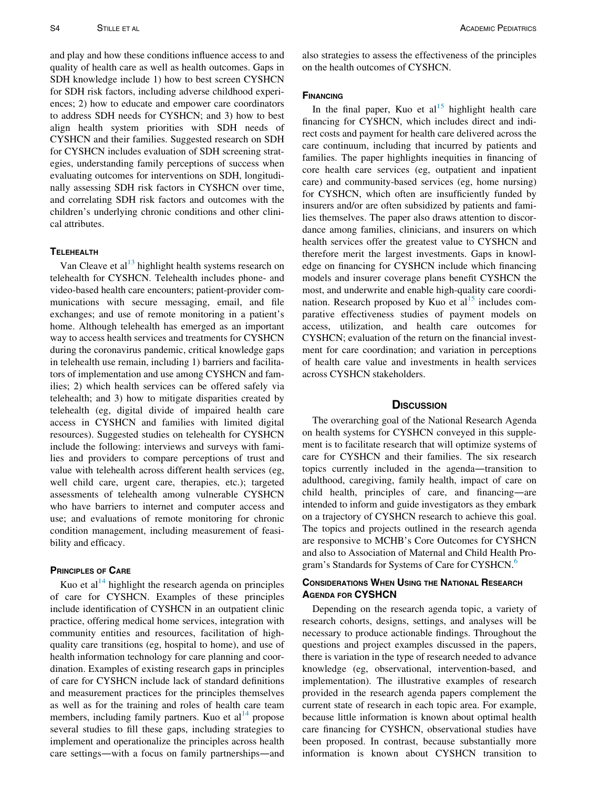and play and how these conditions influence access to and quality of health care as well as health outcomes. Gaps in SDH knowledge include 1) how to best screen CYSHCN for SDH risk factors, including adverse childhood experiences; 2) how to educate and empower care coordinators to address SDH needs for CYSHCN; and 3) how to best align health system priorities with SDH needs of CYSHCN and their families. Suggested research on SDH for CYSHCN includes evaluation of SDH screening strategies, understanding family perceptions of success when evaluating outcomes for interventions on SDH, longitudinally assessing SDH risk factors in CYSHCN over time, and correlating SDH risk factors and outcomes with the children's underlying chronic conditions and other clinical attributes.

#### **TELEHEALTH**

Van Cleave et al $^{13}$  $^{13}$  $^{13}$  highlight health systems research on telehealth for CYSHCN. Telehealth includes phone- and video-based health care encounters; patient-provider communications with secure messaging, email, and file exchanges; and use of remote monitoring in a patient's home. Although telehealth has emerged as an important way to access health services and treatments for CYSHCN during the coronavirus pandemic, critical knowledge gaps in telehealth use remain, including 1) barriers and facilitators of implementation and use among CYSHCN and families; 2) which health services can be offered safely via telehealth; and 3) how to mitigate disparities created by telehealth (eg, digital divide of impaired health care access in CYSHCN and families with limited digital resources). Suggested studies on telehealth for CYSHCN include the following: interviews and surveys with families and providers to compare perceptions of trust and value with telehealth across different health services (eg, well child care, urgent care, therapies, etc.); targeted assessments of telehealth among vulnerable CYSHCN who have barriers to internet and computer access and use; and evaluations of remote monitoring for chronic condition management, including measurement of feasibility and efficacy.

#### PRINCIPLES OF CARE

Kuo et al<sup>[14](#page-5-13)</sup> highlight the research agenda on principles of care for CYSHCN. Examples of these principles include identification of CYSHCN in an outpatient clinic practice, offering medical home services, integration with community entities and resources, facilitation of highquality care transitions (eg, hospital to home), and use of health information technology for care planning and coordination. Examples of existing research gaps in principles of care for CYSHCN include lack of standard definitions and measurement practices for the principles themselves as well as for the training and roles of health care team members, including family partners. Kuo et  $al<sup>14</sup>$  $al<sup>14</sup>$  $al<sup>14</sup>$  propose several studies to fill these gaps, including strategies to implement and operationalize the principles across health care settings—with a focus on family partnerships—and also strategies to assess the effectiveness of the principles on the health outcomes of CYSHCN.

#### **FINANCING**

In the final paper, Kuo et al<sup>[15](#page-5-14)</sup> highlight health care financing for CYSHCN, which includes direct and indirect costs and payment for health care delivered across the care continuum, including that incurred by patients and families. The paper highlights inequities in financing of core health care services (eg, outpatient and inpatient care) and community-based services (eg, home nursing) for CYSHCN, which often are insufficiently funded by insurers and/or are often subsidized by patients and families themselves. The paper also draws attention to discordance among families, clinicians, and insurers on which health services offer the greatest value to CYSHCN and therefore merit the largest investments. Gaps in knowledge on financing for CYSHCN include which financing models and insurer coverage plans benefit CYSHCN the most, and underwrite and enable high-quality care coordination. Research proposed by Kuo et  $al<sup>15</sup>$  $al<sup>15</sup>$  $al<sup>15</sup>$  includes comparative effectiveness studies of payment models on access, utilization, and health care outcomes for CYSHCN; evaluation of the return on the financial investment for care coordination; and variation in perceptions of health care value and investments in health services across CYSHCN stakeholders.

#### **DISCUSSION**

The overarching goal of the National Research Agenda on health systems for CYSHCN conveyed in this supplement is to facilitate research that will optimize systems of care for CYSHCN and their families. The six research topics currently included in the agenda—transition to adulthood, caregiving, family health, impact of care on child health, principles of care, and financing—are intended to inform and guide investigators as they embark on a trajectory of CYSHCN research to achieve this goal. The topics and projects outlined in the research agenda are responsive to MCHB's Core Outcomes for CYSHCN and also to Association of Maternal and Child Health Pro-gram's Standards for Systems of Care for CYSHCN.<sup>[6](#page-5-5)</sup>

#### CONSIDERATIONS WHEN USING THE NATIONAL RESEARCH AGENDA FOR CYSHCN

Depending on the research agenda topic, a variety of research cohorts, designs, settings, and analyses will be necessary to produce actionable findings. Throughout the questions and project examples discussed in the papers, there is variation in the type of research needed to advance knowledge (eg, observational, intervention-based, and implementation). The illustrative examples of research provided in the research agenda papers complement the current state of research in each topic area. For example, because little information is known about optimal health care financing for CYSHCN, observational studies have been proposed. In contrast, because substantially more information is known about CYSHCN transition to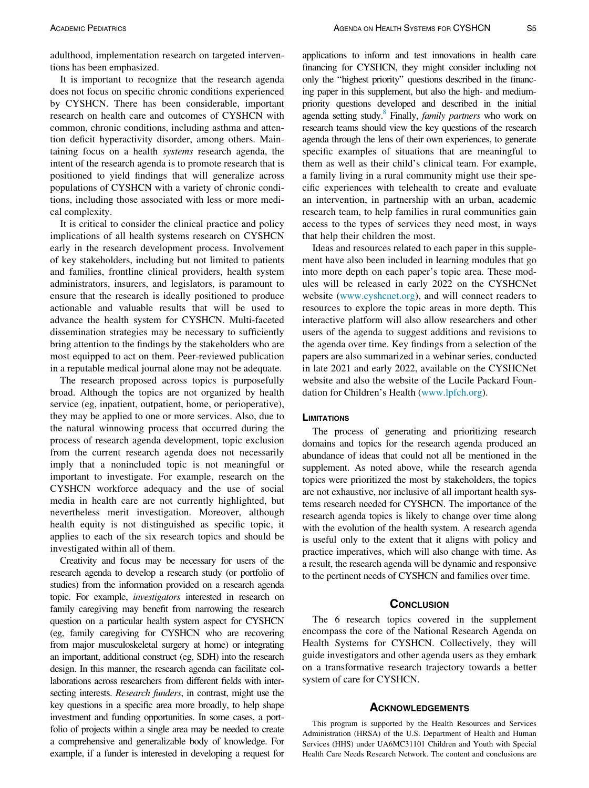adulthood, implementation research on targeted interventions has been emphasized.

It is important to recognize that the research agenda does not focus on specific chronic conditions experienced by CYSHCN. There has been considerable, important research on health care and outcomes of CYSHCN with common, chronic conditions, including asthma and attention deficit hyperactivity disorder, among others. Maintaining focus on a health systems research agenda, the intent of the research agenda is to promote research that is positioned to yield findings that will generalize across populations of CYSHCN with a variety of chronic conditions, including those associated with less or more medical complexity.

It is critical to consider the clinical practice and policy implications of all health systems research on CYSHCN early in the research development process. Involvement of key stakeholders, including but not limited to patients and families, frontline clinical providers, health system administrators, insurers, and legislators, is paramount to ensure that the research is ideally positioned to produce actionable and valuable results that will be used to advance the health system for CYSHCN. Multi-faceted dissemination strategies may be necessary to sufficiently bring attention to the findings by the stakeholders who are most equipped to act on them. Peer-reviewed publication in a reputable medical journal alone may not be adequate.

The research proposed across topics is purposefully broad. Although the topics are not organized by health service (eg, inpatient, outpatient, home, or perioperative), they may be applied to one or more services. Also, due to the natural winnowing process that occurred during the process of research agenda development, topic exclusion from the current research agenda does not necessarily imply that a nonincluded topic is not meaningful or important to investigate. For example, research on the CYSHCN workforce adequacy and the use of social media in health care are not currently highlighted, but nevertheless merit investigation. Moreover, although health equity is not distinguished as specific topic, it applies to each of the six research topics and should be investigated within all of them.

Creativity and focus may be necessary for users of the research agenda to develop a research study (or portfolio of studies) from the information provided on a research agenda topic. For example, investigators interested in research on family caregiving may benefit from narrowing the research question on a particular health system aspect for CYSHCN (eg, family caregiving for CYSHCN who are recovering from major musculoskeletal surgery at home) or integrating an important, additional construct (eg, SDH) into the research design. In this manner, the research agenda can facilitate collaborations across researchers from different fields with intersecting interests. *Research funders*, in contrast, might use the key questions in a specific area more broadly, to help shape investment and funding opportunities. In some cases, a portfolio of projects within a single area may be needed to create a comprehensive and generalizable body of knowledge. For example, if a funder is interested in developing a request for

applications to inform and test innovations in health care financing for CYSHCN, they might consider including not only the "highest priority" questions described in the financing paper in this supplement, but also the high- and mediumpriority questions developed and described in the initial agenda setting study.<sup>8</sup> Finally, *family partners* who work on research teams should view the key questions of the research agenda through the lens of their own experiences, to generate specific examples of situations that are meaningful to them as well as their child's clinical team. For example, a family living in a rural community might use their specific experiences with telehealth to create and evaluate an intervention, in partnership with an urban, academic research team, to help families in rural communities gain access to the types of services they need most, in ways that help their children the most.

Ideas and resources related to each paper in this supplement have also been included in learning modules that go into more depth on each paper's topic area. These modules will be released in early 2022 on the CYSHCNet website ([www.cyshcnet.org](http://www.cyshcnet.org)), and will connect readers to resources to explore the topic areas in more depth. This interactive platform will also allow researchers and other users of the agenda to suggest additions and revisions to the agenda over time. Key findings from a selection of the papers are also summarized in a webinar series, conducted in late 2021 and early 2022, available on the CYSHCNet website and also the website of the Lucile Packard Foundation for Children's Health ([www.lpfch.org\)](http://www.lpfch.org).

#### **LIMITATIONS**

The process of generating and prioritizing research domains and topics for the research agenda produced an abundance of ideas that could not all be mentioned in the supplement. As noted above, while the research agenda topics were prioritized the most by stakeholders, the topics are not exhaustive, nor inclusive of all important health systems research needed for CYSHCN. The importance of the research agenda topics is likely to change over time along with the evolution of the health system. A research agenda is useful only to the extent that it aligns with policy and practice imperatives, which will also change with time. As a result, the research agenda will be dynamic and responsive to the pertinent needs of CYSHCN and families over time.

#### **CONCLUSION**

The 6 research topics covered in the supplement encompass the core of the National Research Agenda on Health Systems for CYSHCN. Collectively, they will guide investigators and other agenda users as they embark on a transformative research trajectory towards a better system of care for CYSHCN.

#### **ACKNOWLEDGEMENTS**

This program is supported by the Health Resources and Services Administration (HRSA) of the U.S. Department of Health and Human Services (HHS) under UA6MC31101 Children and Youth with Special Health Care Needs Research Network. The content and conclusions are